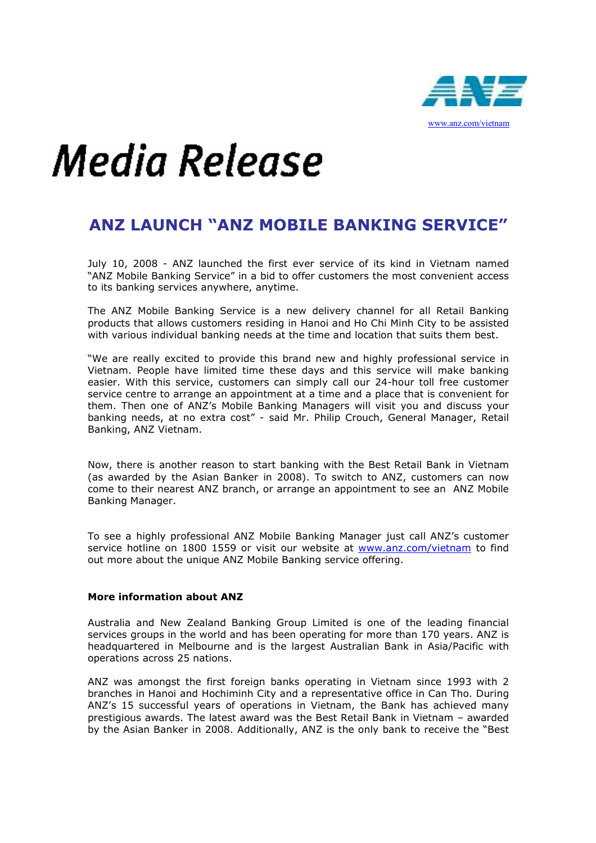

## Media Release

## ANZ LAUNCH "ANZ MOBILE BANKING SERVICE"

July 10, 2008 - ANZ launched the first ever service of its kind in Vietnam named "ANZ Mobile Banking Service" in a bid to offer customers the most convenient access to its banking services anywhere, anytime.

The ANZ Mobile Banking Service is a new delivery channel for all Retail Banking products that allows customers residing in Hanoi and Ho Chi Minh City to be assisted with various individual banking needs at the time and location that suits them best.

"We are really excited to provide this brand new and highly professional service in Vietnam. People have limited time these days and this service will make banking easier. With this service, customers can simply call our 24-hour toll free customer service centre to arrange an appointment at a time and a place that is convenient for them. Then one of ANZ's Mobile Banking Managers will visit you and discuss your banking needs, at no extra cost" - said Mr. Philip Crouch, General Manager, Retail Banking, ANZ Vietnam.

Now, there is another reason to start banking with the Best Retail Bank in Vietnam (as awarded by the Asian Banker in 2008). To switch to ANZ, customers can now come to their nearest ANZ branch, or arrange an appointment to see an ANZ Mobile Banking Manager.

To see a highly professional ANZ Mobile Banking Manager just call ANZ's customer service hotline on 1800 1559 or visit our website at www.anz.com/vietnam to find out more about the unique ANZ Mobile Banking service offering.

## More information about ANZ

Australia and New Zealand Banking Group Limited is one of the leading financial services groups in the world and has been operating for more than 170 years. ANZ is headquartered in Melbourne and is the largest Australian Bank in Asia/Pacific with operations across 25 nations.

ANZ was amongst the first foreign banks operating in Vietnam since 1993 with 2 branches in Hanoi and Hochiminh City and a representative office in Can Tho. During ANZ's 15 successful years of operations in Vietnam, the Bank has achieved many prestigious awards. The latest award was the Best Retail Bank in Vietnam – awarded by the Asian Banker in 2008. Additionally, ANZ is the only bank to receive the "Best